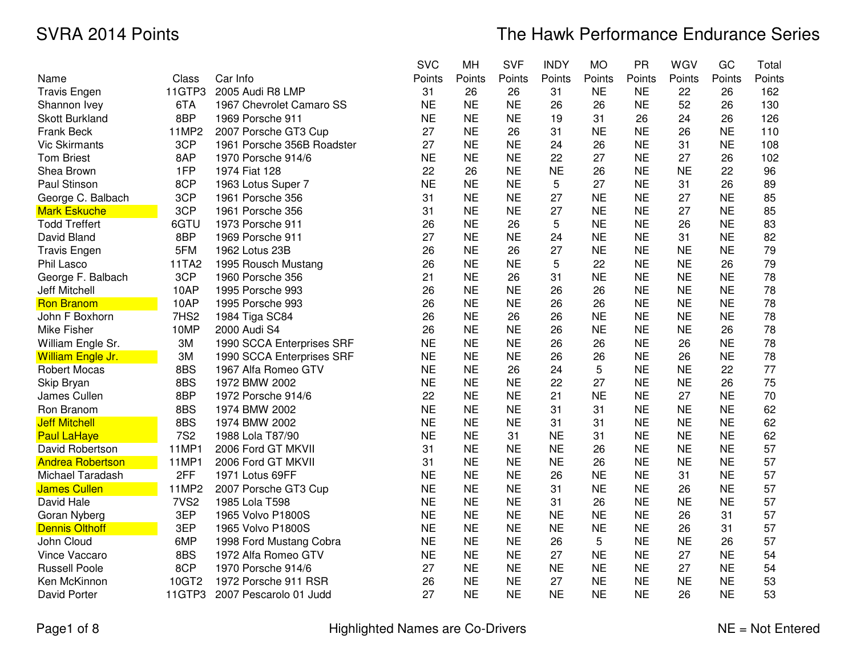# The Hawk Performance Endurance Series

|                         |                  |                            | <b>SVC</b> | MH        | <b>SVF</b> | <b>INDY</b> | <b>MO</b> | <b>PR</b> | <b>WGV</b> | GC        | Total  |
|-------------------------|------------------|----------------------------|------------|-----------|------------|-------------|-----------|-----------|------------|-----------|--------|
| Name                    | Class            | Car Info                   | Points     | Points    | Points     | Points      | Points    | Points    | Points     | Points    | Points |
| <b>Travis Engen</b>     | 11GTP3           | 2005 Audi R8 LMP           | 31         | 26        | 26         | 31          | <b>NE</b> | <b>NE</b> | 22         | 26        | 162    |
| Shannon Ivey            | 6TA              | 1967 Chevrolet Camaro SS   | <b>NE</b>  | <b>NE</b> | <b>NE</b>  | 26          | 26        | <b>NE</b> | 52         | 26        | 130    |
| <b>Skott Burkland</b>   | 8BP              | 1969 Porsche 911           | <b>NE</b>  | <b>NE</b> | <b>NE</b>  | 19          | 31        | 26        | 24         | 26        | 126    |
| Frank Beck              | 11MP2            | 2007 Porsche GT3 Cup       | 27         | <b>NE</b> | 26         | 31          | <b>NE</b> | <b>NE</b> | 26         | <b>NE</b> | 110    |
| <b>Vic Skirmants</b>    | 3CP              | 1961 Porsche 356B Roadster | 27         | <b>NE</b> | <b>NE</b>  | 24          | 26        | <b>NE</b> | 31         | <b>NE</b> | 108    |
| <b>Tom Briest</b>       | 8AP              | 1970 Porsche 914/6         | <b>NE</b>  | <b>NE</b> | <b>NE</b>  | 22          | 27        | <b>NE</b> | 27         | 26        | 102    |
| Shea Brown              | 1FP              | 1974 Fiat 128              | 22         | 26        | <b>NE</b>  | <b>NE</b>   | 26        | <b>NE</b> | <b>NE</b>  | 22        | 96     |
| Paul Stinson            | 8CP              | 1963 Lotus Super 7         | <b>NE</b>  | <b>NE</b> | <b>NE</b>  | 5           | 27        | <b>NE</b> | 31         | 26        | 89     |
| George C. Balbach       | 3CP              | 1961 Porsche 356           | 31         | <b>NE</b> | <b>NE</b>  | 27          | <b>NE</b> | <b>NE</b> | 27         | <b>NE</b> | 85     |
| <b>Mark Eskuche</b>     | 3CP              | 1961 Porsche 356           | 31         | <b>NE</b> | <b>NE</b>  | 27          | <b>NE</b> | <b>NE</b> | 27         | <b>NE</b> | 85     |
| <b>Todd Treffert</b>    | 6GTU             | 1973 Porsche 911           | 26         | <b>NE</b> | 26         | 5           | <b>NE</b> | <b>NE</b> | 26         | <b>NE</b> | 83     |
| David Bland             | 8BP              | 1969 Porsche 911           | 27         | <b>NE</b> | <b>NE</b>  | 24          | <b>NE</b> | <b>NE</b> | 31         | <b>NE</b> | 82     |
| <b>Travis Engen</b>     | 5FM              | 1962 Lotus 23B             | 26         | <b>NE</b> | 26         | 27          | <b>NE</b> | <b>NE</b> | <b>NE</b>  | <b>NE</b> | 79     |
| Phil Lasco              | 11TA2            | 1995 Rousch Mustang        | 26         | <b>NE</b> | <b>NE</b>  | 5           | 22        | <b>NE</b> | <b>NE</b>  | 26        | 79     |
| George F. Balbach       | 3CP              | 1960 Porsche 356           | 21         | <b>NE</b> | 26         | 31          | <b>NE</b> | <b>NE</b> | <b>NE</b>  | <b>NE</b> | 78     |
| Jeff Mitchell           | 10AP             | 1995 Porsche 993           | 26         | <b>NE</b> | <b>NE</b>  | 26          | 26        | <b>NE</b> | <b>NE</b>  | <b>NE</b> | 78     |
| <b>Ron Branom</b>       | 10AP             | 1995 Porsche 993           | 26         | <b>NE</b> | <b>NE</b>  | 26          | 26        | <b>NE</b> | <b>NE</b>  | <b>NE</b> | 78     |
| John F Boxhorn          | 7HS <sub>2</sub> | 1984 Tiga SC84             | 26         | <b>NE</b> | 26         | 26          | <b>NE</b> | <b>NE</b> | <b>NE</b>  | <b>NE</b> | 78     |
| Mike Fisher             | 10MP             | 2000 Audi S4               | 26         | <b>NE</b> | <b>NE</b>  | 26          | <b>NE</b> | <b>NE</b> | <b>NE</b>  | 26        | 78     |
| William Engle Sr.       | 3M               | 1990 SCCA Enterprises SRF  | <b>NE</b>  | <b>NE</b> | <b>NE</b>  | 26          | 26        | <b>NE</b> | 26         | <b>NE</b> | 78     |
| William Engle Jr.       | 3M               | 1990 SCCA Enterprises SRF  | <b>NE</b>  | <b>NE</b> | <b>NE</b>  | 26          | 26        | <b>NE</b> | 26         | <b>NE</b> | 78     |
| <b>Robert Mocas</b>     | 8BS              | 1967 Alfa Romeo GTV        | <b>NE</b>  | <b>NE</b> | 26         | 24          | 5         | <b>NE</b> | <b>NE</b>  | 22        | 77     |
| Skip Bryan              | 8BS              | 1972 BMW 2002              | <b>NE</b>  | <b>NE</b> | <b>NE</b>  | 22          | 27        | <b>NE</b> | <b>NE</b>  | 26        | 75     |
| James Cullen            | 8BP              | 1972 Porsche 914/6         | 22         | <b>NE</b> | <b>NE</b>  | 21          | <b>NE</b> | <b>NE</b> | 27         | <b>NE</b> | 70     |
| Ron Branom              | 8BS              | 1974 BMW 2002              | <b>NE</b>  | <b>NE</b> | <b>NE</b>  | 31          | 31        | <b>NE</b> | <b>NE</b>  | <b>NE</b> | 62     |
| <b>Jeff Mitchell</b>    | 8BS              | 1974 BMW 2002              | <b>NE</b>  | <b>NE</b> | <b>NE</b>  | 31          | 31        | <b>NE</b> | <b>NE</b>  | <b>NE</b> | 62     |
| <b>Paul LaHaye</b>      | <b>7S2</b>       | 1988 Lola T87/90           | <b>NE</b>  | <b>NE</b> | 31         | <b>NE</b>   | 31        | <b>NE</b> | <b>NE</b>  | <b>NE</b> | 62     |
| David Robertson         | 11MP1            | 2006 Ford GT MKVII         | 31         | <b>NE</b> | <b>NE</b>  | <b>NE</b>   | 26        | <b>NE</b> | <b>NE</b>  | <b>NE</b> | 57     |
| <b>Andrea Robertson</b> | 11MP1            | 2006 Ford GT MKVII         | 31         | <b>NE</b> | <b>NE</b>  | <b>NE</b>   | 26        | <b>NE</b> | <b>NE</b>  | <b>NE</b> | 57     |
| Michael Taradash        | 2FF              | 1971 Lotus 69FF            | <b>NE</b>  | <b>NE</b> | <b>NE</b>  | 26          | <b>NE</b> | <b>NE</b> | 31         | <b>NE</b> | 57     |
| <b>James Cullen</b>     | 11MP2            | 2007 Porsche GT3 Cup       | <b>NE</b>  | <b>NE</b> | <b>NE</b>  | 31          | <b>NE</b> | <b>NE</b> | 26         | <b>NE</b> | 57     |
| David Hale              | 7VS <sub>2</sub> | 1985 Lola T598             | <b>NE</b>  | <b>NE</b> | <b>NE</b>  | 31          | 26        | <b>NE</b> | <b>NE</b>  | <b>NE</b> | 57     |
| Goran Nyberg            | 3EP              | 1965 Volvo P1800S          | <b>NE</b>  | <b>NE</b> | <b>NE</b>  | <b>NE</b>   | <b>NE</b> | <b>NE</b> | 26         | 31        | 57     |
| <b>Dennis Olthoff</b>   | 3EP              | 1965 Volvo P1800S          | <b>NE</b>  | <b>NE</b> | <b>NE</b>  | <b>NE</b>   | <b>NE</b> | <b>NE</b> | 26         | 31        | 57     |
| John Cloud              | 6MP              | 1998 Ford Mustang Cobra    | <b>NE</b>  | <b>NE</b> | <b>NE</b>  | 26          | 5         | <b>NE</b> | <b>NE</b>  | 26        | 57     |
| Vince Vaccaro           | 8BS              | 1972 Alfa Romeo GTV        | <b>NE</b>  | <b>NE</b> | <b>NE</b>  | 27          | <b>NE</b> | <b>NE</b> | 27         | <b>NE</b> | 54     |
| <b>Russell Poole</b>    | 8CP              | 1970 Porsche 914/6         | 27         | <b>NE</b> | <b>NE</b>  | <b>NE</b>   | <b>NE</b> | <b>NE</b> | 27         | <b>NE</b> | 54     |
| Ken McKinnon            | 10GT2            | 1972 Porsche 911 RSR       | 26         | <b>NE</b> | <b>NE</b>  | 27          | <b>NE</b> | <b>NE</b> | <b>NE</b>  | <b>NE</b> | 53     |
| David Porter            | 11GTP3           | 2007 Pescarolo 01 Judd     | 27         | <b>NE</b> | <b>NE</b>  | <b>NE</b>   | <b>NE</b> | <b>NE</b> | 26         | <b>NE</b> | 53     |

Page1 of 8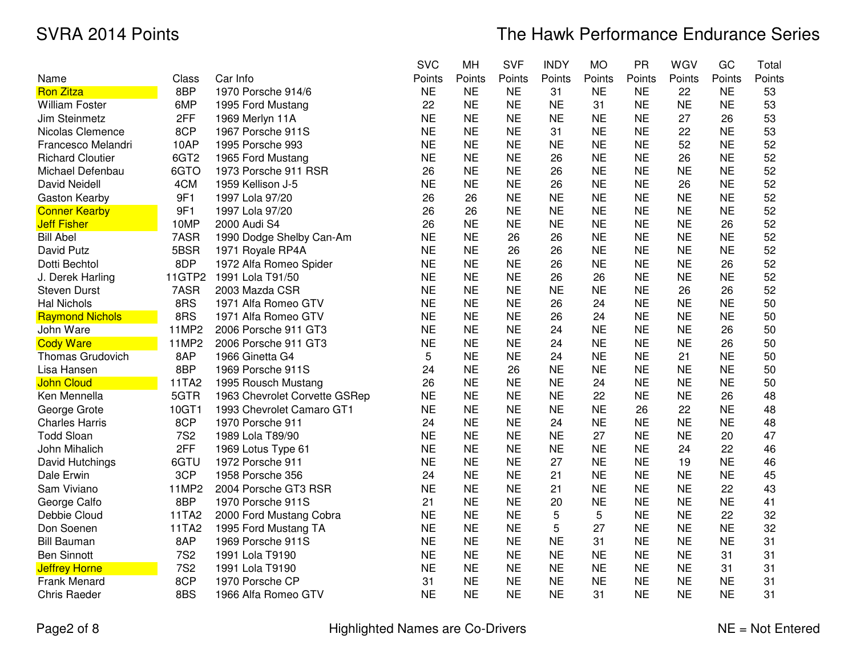|                         |                  |                               | <b>SVC</b> | <b>MH</b> | <b>SVF</b> | <b>INDY</b> | <b>MO</b> | <b>PR</b> | WGV       | GC        | Total  |
|-------------------------|------------------|-------------------------------|------------|-----------|------------|-------------|-----------|-----------|-----------|-----------|--------|
| Name                    | Class            | Car Info                      | Points     | Points    | Points     | Points      | Points    | Points    | Points    | Points    | Points |
| <b>Ron Zitza</b>        | 8BP              | 1970 Porsche 914/6            | <b>NE</b>  | <b>NE</b> | <b>NE</b>  | 31          | <b>NE</b> | <b>NE</b> | 22        | <b>NE</b> | 53     |
| <b>William Foster</b>   | 6MP              | 1995 Ford Mustang             | 22         | <b>NE</b> | <b>NE</b>  | <b>NE</b>   | 31        | <b>NE</b> | <b>NE</b> | <b>NE</b> | 53     |
| Jim Steinmetz           | 2FF              | 1969 Merlyn 11A               | <b>NE</b>  | <b>NE</b> | <b>NE</b>  | <b>NE</b>   | <b>NE</b> | <b>NE</b> | 27        | 26        | 53     |
| Nicolas Clemence        | 8CP              | 1967 Porsche 911S             | <b>NE</b>  | <b>NE</b> | <b>NE</b>  | 31          | <b>NE</b> | <b>NE</b> | 22        | <b>NE</b> | 53     |
| Francesco Melandri      | 10AP             | 1995 Porsche 993              | <b>NE</b>  | <b>NE</b> | <b>NE</b>  | <b>NE</b>   | <b>NE</b> | <b>NE</b> | 52        | <b>NE</b> | 52     |
| <b>Richard Cloutier</b> | 6GT <sub>2</sub> | 1965 Ford Mustang             | <b>NE</b>  | <b>NE</b> | <b>NE</b>  | 26          | <b>NE</b> | <b>NE</b> | 26        | <b>NE</b> | 52     |
| Michael Defenbau        | 6GTO             | 1973 Porsche 911 RSR          | 26         | <b>NE</b> | <b>NE</b>  | 26          | <b>NE</b> | <b>NE</b> | <b>NE</b> | <b>NE</b> | 52     |
| <b>David Neidell</b>    | 4CM              | 1959 Kellison J-5             | <b>NE</b>  | <b>NE</b> | <b>NE</b>  | 26          | <b>NE</b> | <b>NE</b> | 26        | <b>NE</b> | 52     |
| Gaston Kearby           | 9F1              | 1997 Lola 97/20               | 26         | 26        | <b>NE</b>  | <b>NE</b>   | <b>NE</b> | <b>NE</b> | <b>NE</b> | <b>NE</b> | 52     |
| <b>Conner Kearby</b>    | 9F1              | 1997 Lola 97/20               | 26         | 26        | <b>NE</b>  | <b>NE</b>   | <b>NE</b> | <b>NE</b> | <b>NE</b> | <b>NE</b> | 52     |
| <b>Jeff Fisher</b>      | 10MP             | 2000 Audi S4                  | 26         | <b>NE</b> | <b>NE</b>  | <b>NE</b>   | <b>NE</b> | <b>NE</b> | <b>NE</b> | 26        | 52     |
| <b>Bill Abel</b>        | 7ASR             | 1990 Dodge Shelby Can-Am      | <b>NE</b>  | <b>NE</b> | 26         | 26          | <b>NE</b> | <b>NE</b> | <b>NE</b> | <b>NE</b> | 52     |
| David Putz              | 5BSR             | 1971 Royale RP4A              | <b>NE</b>  | <b>NE</b> | 26         | 26          | <b>NE</b> | <b>NE</b> | <b>NE</b> | <b>NE</b> | 52     |
| Dotti Bechtol           | 8DP              | 1972 Alfa Romeo Spider        | <b>NE</b>  | <b>NE</b> | <b>NE</b>  | 26          | <b>NE</b> | <b>NE</b> | <b>NE</b> | 26        | 52     |
| J. Derek Harling        | 11GTP2           | 1991 Lola T91/50              | <b>NE</b>  | <b>NE</b> | <b>NE</b>  | 26          | 26        | <b>NE</b> | <b>NE</b> | <b>NE</b> | 52     |
| <b>Steven Durst</b>     | 7ASR             | 2003 Mazda CSR                | <b>NE</b>  | <b>NE</b> | <b>NE</b>  | <b>NE</b>   | <b>NE</b> | <b>NE</b> | 26        | 26        | 52     |
| <b>Hal Nichols</b>      | 8RS              | 1971 Alfa Romeo GTV           | <b>NE</b>  | <b>NE</b> | <b>NE</b>  | 26          | 24        | <b>NE</b> | <b>NE</b> | <b>NE</b> | 50     |
| <b>Raymond Nichols</b>  | 8RS              | 1971 Alfa Romeo GTV           | <b>NE</b>  | <b>NE</b> | <b>NE</b>  | 26          | 24        | <b>NE</b> | <b>NE</b> | <b>NE</b> | 50     |
| John Ware               | 11MP2            | 2006 Porsche 911 GT3          | <b>NE</b>  | <b>NE</b> | <b>NE</b>  | 24          | <b>NE</b> | <b>NE</b> | <b>NE</b> | 26        | 50     |
| <b>Cody Ware</b>        | 11MP2            | 2006 Porsche 911 GT3          | <b>NE</b>  | <b>NE</b> | <b>NE</b>  | 24          | <b>NE</b> | <b>NE</b> | <b>NE</b> | 26        | 50     |
| Thomas Grudovich        | 8AP              | 1966 Ginetta G4               | 5          | <b>NE</b> | <b>NE</b>  | 24          | <b>NE</b> | <b>NE</b> | 21        | <b>NE</b> | 50     |
| Lisa Hansen             | 8BP              | 1969 Porsche 911S             | 24         | <b>NE</b> | 26         | <b>NE</b>   | <b>NE</b> | <b>NE</b> | <b>NE</b> | <b>NE</b> | 50     |
| <b>John Cloud</b>       | 11TA2            | 1995 Rousch Mustang           | 26         | <b>NE</b> | <b>NE</b>  | <b>NE</b>   | 24        | <b>NE</b> | <b>NE</b> | <b>NE</b> | 50     |
| Ken Mennella            | 5GTR             | 1963 Chevrolet Corvette GSRep | <b>NE</b>  | <b>NE</b> | <b>NE</b>  | <b>NE</b>   | 22        | <b>NE</b> | <b>NE</b> | 26        | 48     |
| George Grote            | 10GT1            | 1993 Chevrolet Camaro GT1     | <b>NE</b>  | <b>NE</b> | <b>NE</b>  | <b>NE</b>   | <b>NE</b> | 26        | 22        | <b>NE</b> | 48     |
| <b>Charles Harris</b>   | 8CP              | 1970 Porsche 911              | 24         | <b>NE</b> | <b>NE</b>  | 24          | <b>NE</b> | <b>NE</b> | <b>NE</b> | <b>NE</b> | 48     |
| <b>Todd Sloan</b>       | <b>7S2</b>       | 1989 Lola T89/90              | <b>NE</b>  | <b>NE</b> | <b>NE</b>  | <b>NE</b>   | 27        | <b>NE</b> | <b>NE</b> | 20        | 47     |
| John Mihalich           | 2FF              | 1969 Lotus Type 61            | <b>NE</b>  | <b>NE</b> | <b>NE</b>  | <b>NE</b>   | <b>NE</b> | <b>NE</b> | 24        | 22        | 46     |
| David Hutchings         | 6GTU             | 1972 Porsche 911              | <b>NE</b>  | <b>NE</b> | <b>NE</b>  | 27          | <b>NE</b> | <b>NE</b> | 19        | <b>NE</b> | 46     |
| Dale Erwin              | 3CP              | 1958 Porsche 356              | 24         | <b>NE</b> | <b>NE</b>  | 21          | <b>NE</b> | <b>NE</b> | <b>NE</b> | <b>NE</b> | 45     |
| Sam Viviano             | 11MP2            | 2004 Porsche GT3 RSR          | <b>NE</b>  | <b>NE</b> | <b>NE</b>  | 21          | <b>NE</b> | <b>NE</b> | <b>NE</b> | 22        | 43     |
| George Calfo            | 8BP              | 1970 Porsche 911S             | 21         | <b>NE</b> | <b>NE</b>  | 20          | <b>NE</b> | <b>NE</b> | <b>NE</b> | <b>NE</b> | 41     |
| Debbie Cloud            | 11TA2            | 2000 Ford Mustang Cobra       | <b>NE</b>  | <b>NE</b> | <b>NE</b>  | 5           | 5         | <b>NE</b> | <b>NE</b> | 22        | 32     |
| Don Soenen              | 11TA2            | 1995 Ford Mustang TA          | <b>NE</b>  | <b>NE</b> | <b>NE</b>  | 5           | 27        | <b>NE</b> | <b>NE</b> | <b>NE</b> | 32     |
| <b>Bill Bauman</b>      | 8AP              | 1969 Porsche 911S             | <b>NE</b>  | <b>NE</b> | <b>NE</b>  | <b>NE</b>   | 31        | <b>NE</b> | <b>NE</b> | <b>NE</b> | 31     |
| <b>Ben Sinnott</b>      | <b>7S2</b>       | 1991 Lola T9190               | <b>NE</b>  | <b>NE</b> | <b>NE</b>  | <b>NE</b>   | <b>NE</b> | <b>NE</b> | <b>NE</b> | 31        | 31     |
| <b>Jeffrey Horne</b>    | <b>7S2</b>       | 1991 Lola T9190               | <b>NE</b>  | <b>NE</b> | <b>NE</b>  | <b>NE</b>   | <b>NE</b> | <b>NE</b> | <b>NE</b> | 31        | 31     |
| Frank Menard            | 8CP              | 1970 Porsche CP               | 31         | <b>NE</b> | <b>NE</b>  | <b>NE</b>   | <b>NE</b> | <b>NE</b> | <b>NE</b> | <b>NE</b> | 31     |
| <b>Chris Raeder</b>     | 8BS              | 1966 Alfa Romeo GTV           | <b>NE</b>  | <b>NE</b> | <b>NE</b>  | <b>NE</b>   | 31        | <b>NE</b> | <b>NE</b> | <b>NE</b> | 31     |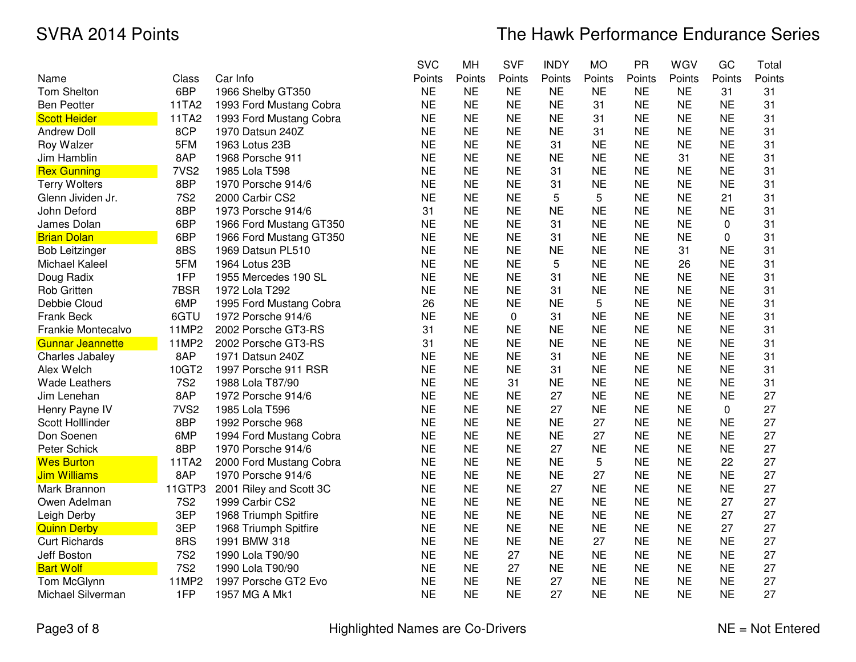|                         |                  |                         | <b>SVC</b> | MH        | <b>SVF</b>  | <b>INDY</b> | <b>MO</b> | PR        | WGV       | GC        | Total  |
|-------------------------|------------------|-------------------------|------------|-----------|-------------|-------------|-----------|-----------|-----------|-----------|--------|
| Name                    | Class            | Car Info                | Points     | Points    | Points      | Points      | Points    | Points    | Points    | Points    | Points |
| Tom Shelton             | 6BP              | 1966 Shelby GT350       | <b>NE</b>  | <b>NE</b> | <b>NE</b>   | <b>NE</b>   | <b>NE</b> | <b>NE</b> | <b>NE</b> | 31        | 31     |
| <b>Ben Peotter</b>      | 11TA2            | 1993 Ford Mustang Cobra | <b>NE</b>  | <b>NE</b> | <b>NE</b>   | <b>NE</b>   | 31        | <b>NE</b> | <b>NE</b> | <b>NE</b> | 31     |
| <b>Scott Heider</b>     | 11TA2            | 1993 Ford Mustang Cobra | <b>NE</b>  | <b>NE</b> | <b>NE</b>   | <b>NE</b>   | 31        | <b>NE</b> | <b>NE</b> | <b>NE</b> | 31     |
| <b>Andrew Doll</b>      | 8CP              | 1970 Datsun 240Z        | <b>NE</b>  | <b>NE</b> | <b>NE</b>   | <b>NE</b>   | 31        | <b>NE</b> | <b>NE</b> | <b>NE</b> | 31     |
| Roy Walzer              | 5FM              | 1963 Lotus 23B          | <b>NE</b>  | <b>NE</b> | <b>NE</b>   | 31          | <b>NE</b> | <b>NE</b> | <b>NE</b> | <b>NE</b> | 31     |
| Jim Hamblin             | 8AP              | 1968 Porsche 911        | <b>NE</b>  | <b>NE</b> | <b>NE</b>   | <b>NE</b>   | <b>NE</b> | <b>NE</b> | 31        | <b>NE</b> | 31     |
| <b>Rex Gunning</b>      | 7VS <sub>2</sub> | 1985 Lola T598          | <b>NE</b>  | <b>NE</b> | <b>NE</b>   | 31          | <b>NE</b> | <b>NE</b> | <b>NE</b> | <b>NE</b> | 31     |
| <b>Terry Wolters</b>    | 8BP              | 1970 Porsche 914/6      | <b>NE</b>  | <b>NE</b> | <b>NE</b>   | 31          | <b>NE</b> | <b>NE</b> | <b>NE</b> | <b>NE</b> | 31     |
| Glenn Jividen Jr.       | <b>7S2</b>       | 2000 Carbir CS2         | <b>NE</b>  | <b>NE</b> | <b>NE</b>   | 5           | 5         | <b>NE</b> | <b>NE</b> | 21        | 31     |
| John Deford             | 8BP              | 1973 Porsche 914/6      | 31         | <b>NE</b> | <b>NE</b>   | <b>NE</b>   | <b>NE</b> | <b>NE</b> | <b>NE</b> | <b>NE</b> | 31     |
| James Dolan             | 6BP              | 1966 Ford Mustang GT350 | <b>NE</b>  | <b>NE</b> | <b>NE</b>   | 31          | <b>NE</b> | <b>NE</b> | <b>NE</b> | 0         | 31     |
| <b>Brian Dolan</b>      | 6BP              | 1966 Ford Mustang GT350 | <b>NE</b>  | <b>NE</b> | <b>NE</b>   | 31          | <b>NE</b> | <b>NE</b> | <b>NE</b> | 0         | 31     |
| <b>Bob Leitzinger</b>   | 8BS              | 1969 Datsun PL510       | <b>NE</b>  | <b>NE</b> | <b>NE</b>   | <b>NE</b>   | <b>NE</b> | <b>NE</b> | 31        | <b>NE</b> | 31     |
| <b>Michael Kaleel</b>   | 5FM              | 1964 Lotus 23B          | <b>NE</b>  | <b>NE</b> | <b>NE</b>   | 5           | <b>NE</b> | <b>NE</b> | 26        | <b>NE</b> | 31     |
| Doug Radix              | 1FP              | 1955 Mercedes 190 SL    | <b>NE</b>  | <b>NE</b> | <b>NE</b>   | 31          | <b>NE</b> | <b>NE</b> | <b>NE</b> | <b>NE</b> | 31     |
| <b>Rob Gritten</b>      | 7BSR             | 1972 Lola T292          | <b>NE</b>  | <b>NE</b> | <b>NE</b>   | 31          | <b>NE</b> | <b>NE</b> | <b>NE</b> | <b>NE</b> | 31     |
| Debbie Cloud            | 6MP              | 1995 Ford Mustang Cobra | 26         | <b>NE</b> | <b>NE</b>   | <b>NE</b>   | 5         | <b>NE</b> | <b>NE</b> | <b>NE</b> | 31     |
| Frank Beck              | 6GTU             | 1972 Porsche 914/6      | <b>NE</b>  | <b>NE</b> | $\mathbf 0$ | 31          | <b>NE</b> | <b>NE</b> | <b>NE</b> | <b>NE</b> | 31     |
| Frankie Montecalvo      | 11MP2            | 2002 Porsche GT3-RS     | 31         | <b>NE</b> | <b>NE</b>   | <b>NE</b>   | <b>NE</b> | <b>NE</b> | <b>NE</b> | <b>NE</b> | 31     |
| <b>Gunnar Jeannette</b> | 11MP2            | 2002 Porsche GT3-RS     | 31         | <b>NE</b> | <b>NE</b>   | <b>NE</b>   | <b>NE</b> | <b>NE</b> | <b>NE</b> | <b>NE</b> | 31     |
| Charles Jabaley         | 8AP              | 1971 Datsun 240Z        | <b>NE</b>  | <b>NE</b> | <b>NE</b>   | 31          | <b>NE</b> | <b>NE</b> | <b>NE</b> | <b>NE</b> | 31     |
| Alex Welch              | 10GT2            | 1997 Porsche 911 RSR    | <b>NE</b>  | <b>NE</b> | <b>NE</b>   | 31          | <b>NE</b> | <b>NE</b> | <b>NE</b> | <b>NE</b> | 31     |
| <b>Wade Leathers</b>    | <b>7S2</b>       | 1988 Lola T87/90        | <b>NE</b>  | <b>NE</b> | 31          | <b>NE</b>   | <b>NE</b> | <b>NE</b> | <b>NE</b> | <b>NE</b> | 31     |
| Jim Lenehan             | 8AP              | 1972 Porsche 914/6      | <b>NE</b>  | <b>NE</b> | <b>NE</b>   | 27          | <b>NE</b> | <b>NE</b> | <b>NE</b> | <b>NE</b> | 27     |
| Henry Payne IV          | 7VS <sub>2</sub> | 1985 Lola T596          | <b>NE</b>  | <b>NE</b> | <b>NE</b>   | 27          | <b>NE</b> | <b>NE</b> | <b>NE</b> | 0         | 27     |
| Scott Holllinder        | 8BP              | 1992 Porsche 968        | <b>NE</b>  | <b>NE</b> | <b>NE</b>   | <b>NE</b>   | 27        | <b>NE</b> | <b>NE</b> | <b>NE</b> | 27     |
| Don Soenen              | 6MP              | 1994 Ford Mustang Cobra | <b>NE</b>  | <b>NE</b> | <b>NE</b>   | <b>NE</b>   | 27        | <b>NE</b> | <b>NE</b> | <b>NE</b> | 27     |
| Peter Schick            | 8BP              | 1970 Porsche 914/6      | <b>NE</b>  | <b>NE</b> | <b>NE</b>   | 27          | <b>NE</b> | <b>NE</b> | <b>NE</b> | <b>NE</b> | 27     |
| <b>Wes Burton</b>       | 11TA2            | 2000 Ford Mustang Cobra | <b>NE</b>  | <b>NE</b> | <b>NE</b>   | <b>NE</b>   | 5         | <b>NE</b> | <b>NE</b> | 22        | 27     |
| <b>Jim Williams</b>     | 8AP              | 1970 Porsche 914/6      | <b>NE</b>  | <b>NE</b> | <b>NE</b>   | <b>NE</b>   | 27        | <b>NE</b> | <b>NE</b> | <b>NE</b> | 27     |
| Mark Brannon            | 11GTP3           | 2001 Riley and Scott 3C | <b>NE</b>  | <b>NE</b> | <b>NE</b>   | 27          | <b>NE</b> | <b>NE</b> | <b>NE</b> | <b>NE</b> | 27     |
| Owen Adelman            | <b>7S2</b>       | 1999 Carbir CS2         | <b>NE</b>  | <b>NE</b> | <b>NE</b>   | <b>NE</b>   | <b>NE</b> | <b>NE</b> | <b>NE</b> | 27        | 27     |
| Leigh Derby             | 3EP              | 1968 Triumph Spitfire   | <b>NE</b>  | <b>NE</b> | <b>NE</b>   | <b>NE</b>   | <b>NE</b> | <b>NE</b> | <b>NE</b> | 27        | 27     |
| <b>Quinn Derby</b>      | 3EP              | 1968 Triumph Spitfire   | <b>NE</b>  | <b>NE</b> | <b>NE</b>   | <b>NE</b>   | <b>NE</b> | <b>NE</b> | <b>NE</b> | 27        | 27     |
| <b>Curt Richards</b>    | 8RS              | 1991 BMW 318            | <b>NE</b>  | <b>NE</b> | <b>NE</b>   | <b>NE</b>   | 27        | <b>NE</b> | <b>NE</b> | <b>NE</b> | 27     |
| Jeff Boston             | <b>7S2</b>       | 1990 Lola T90/90        | <b>NE</b>  | <b>NE</b> | 27          | <b>NE</b>   | <b>NE</b> | <b>NE</b> | <b>NE</b> | <b>NE</b> | 27     |
| <b>Bart Wolf</b>        | <b>7S2</b>       | 1990 Lola T90/90        | <b>NE</b>  | <b>NE</b> | 27          | <b>NE</b>   | <b>NE</b> | <b>NE</b> | <b>NE</b> | <b>NE</b> | 27     |
| Tom McGlynn             | 11MP2            | 1997 Porsche GT2 Evo    | <b>NE</b>  | <b>NE</b> | <b>NE</b>   | 27          | <b>NE</b> | <b>NE</b> | <b>NE</b> | <b>NE</b> | 27     |
| Michael Silverman       | 1FP              | 1957 MG A Mk1           | <b>NE</b>  | <b>NE</b> | <b>NE</b>   | 27          | <b>NE</b> | <b>NE</b> | <b>NE</b> | <b>NE</b> | 27     |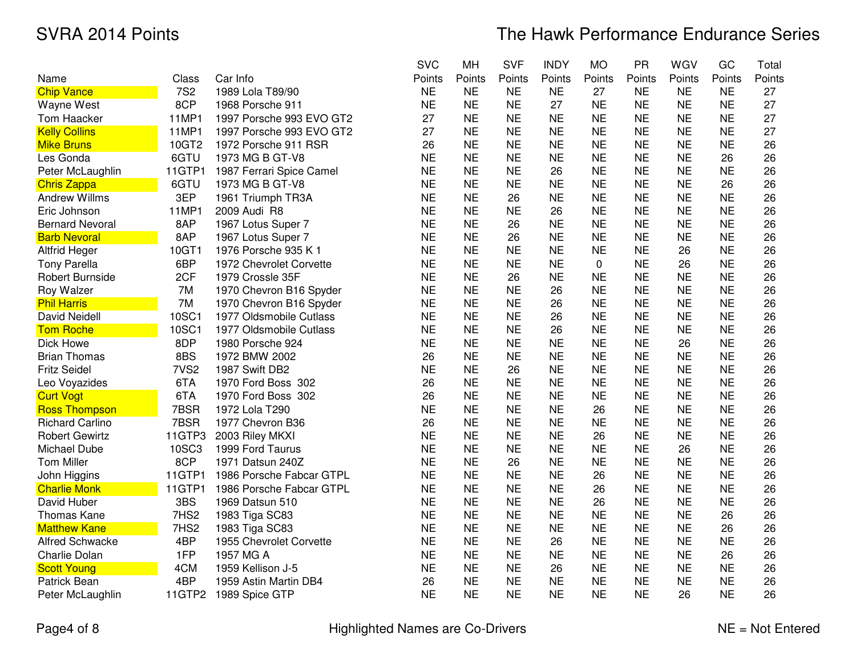|                        |                  |                          | <b>SVC</b> | MH        | <b>SVF</b> | <b>INDY</b> | <b>MO</b> | PR        | WGV       | GC        | Total  |
|------------------------|------------------|--------------------------|------------|-----------|------------|-------------|-----------|-----------|-----------|-----------|--------|
| Name                   | Class            | Car Info                 | Points     | Points    | Points     | Points      | Points    | Points    | Points    | Points    | Points |
| <b>Chip Vance</b>      | <b>7S2</b>       | 1989 Lola T89/90         | <b>NE</b>  | <b>NE</b> | <b>NE</b>  | <b>NE</b>   | 27        | <b>NE</b> | <b>NE</b> | <b>NE</b> | 27     |
| Wayne West             | 8CP              | 1968 Porsche 911         | <b>NE</b>  | <b>NE</b> | <b>NE</b>  | 27          | <b>NE</b> | <b>NE</b> | <b>NE</b> | <b>NE</b> | 27     |
| <b>Tom Haacker</b>     | 11MP1            | 1997 Porsche 993 EVO GT2 | 27         | <b>NE</b> | <b>NE</b>  | <b>NE</b>   | <b>NE</b> | <b>NE</b> | <b>NE</b> | <b>NE</b> | 27     |
| <b>Kelly Collins</b>   | 11MP1            | 1997 Porsche 993 EVO GT2 | 27         | <b>NE</b> | <b>NE</b>  | <b>NE</b>   | <b>NE</b> | <b>NE</b> | <b>NE</b> | <b>NE</b> | 27     |
| <b>Mike Bruns</b>      | 10GT2            | 1972 Porsche 911 RSR     | 26         | <b>NE</b> | <b>NE</b>  | <b>NE</b>   | <b>NE</b> | <b>NE</b> | <b>NE</b> | <b>NE</b> | 26     |
| Les Gonda              | 6GTU             | 1973 MG B GT-V8          | <b>NE</b>  | <b>NE</b> | <b>NE</b>  | <b>NE</b>   | <b>NE</b> | <b>NE</b> | <b>NE</b> | 26        | 26     |
| Peter McLaughlin       | 11GTP1           | 1987 Ferrari Spice Camel | <b>NE</b>  | <b>NE</b> | <b>NE</b>  | 26          | <b>NE</b> | <b>NE</b> | <b>NE</b> | <b>NE</b> | 26     |
| <b>Chris Zappa</b>     | 6GTU             | 1973 MG B GT-V8          | <b>NE</b>  | <b>NE</b> | <b>NE</b>  | <b>NE</b>   | <b>NE</b> | <b>NE</b> | <b>NE</b> | 26        | 26     |
| <b>Andrew Willms</b>   | 3EP              | 1961 Triumph TR3A        | <b>NE</b>  | <b>NE</b> | 26         | <b>NE</b>   | <b>NE</b> | <b>NE</b> | <b>NE</b> | <b>NE</b> | 26     |
| Eric Johnson           | 11MP1            | 2009 Audi R8             | <b>NE</b>  | <b>NE</b> | <b>NE</b>  | 26          | <b>NE</b> | <b>NE</b> | <b>NE</b> | <b>NE</b> | 26     |
| <b>Bernard Nevoral</b> | 8AP              | 1967 Lotus Super 7       | <b>NE</b>  | <b>NE</b> | 26         | <b>NE</b>   | <b>NE</b> | <b>NE</b> | <b>NE</b> | <b>NE</b> | 26     |
| <b>Barb Nevoral</b>    | 8AP              | 1967 Lotus Super 7       | <b>NE</b>  | <b>NE</b> | 26         | <b>NE</b>   | <b>NE</b> | <b>NE</b> | <b>NE</b> | <b>NE</b> | 26     |
| <b>Altfrid Heger</b>   | 10GT1            | 1976 Porsche 935 K 1     | <b>NE</b>  | <b>NE</b> | <b>NE</b>  | <b>NE</b>   | <b>NE</b> | <b>NE</b> | 26        | <b>NE</b> | 26     |
| <b>Tony Parella</b>    | 6BP              | 1972 Chevrolet Corvette  | <b>NE</b>  | <b>NE</b> | <b>NE</b>  | <b>NE</b>   | 0         | <b>NE</b> | 26        | <b>NE</b> | 26     |
| Robert Burnside        | 2CF              | 1979 Crossle 35F         | <b>NE</b>  | <b>NE</b> | 26         | <b>NE</b>   | <b>NE</b> | <b>NE</b> | <b>NE</b> | <b>NE</b> | 26     |
| Roy Walzer             | 7M               | 1970 Chevron B16 Spyder  | <b>NE</b>  | <b>NE</b> | <b>NE</b>  | 26          | <b>NE</b> | <b>NE</b> | <b>NE</b> | <b>NE</b> | 26     |
| <b>Phil Harris</b>     | 7M               | 1970 Chevron B16 Spyder  | <b>NE</b>  | <b>NE</b> | <b>NE</b>  | 26          | <b>NE</b> | <b>NE</b> | <b>NE</b> | <b>NE</b> | 26     |
| <b>David Neidell</b>   | 10SC1            | 1977 Oldsmobile Cutlass  | <b>NE</b>  | <b>NE</b> | <b>NE</b>  | 26          | <b>NE</b> | <b>NE</b> | <b>NE</b> | <b>NE</b> | 26     |
| <b>Tom Roche</b>       | 10SC1            | 1977 Oldsmobile Cutlass  | <b>NE</b>  | <b>NE</b> | <b>NE</b>  | 26          | <b>NE</b> | <b>NE</b> | <b>NE</b> | <b>NE</b> | 26     |
| Dick Howe              | 8DP              | 1980 Porsche 924         | <b>NE</b>  | <b>NE</b> | <b>NE</b>  | <b>NE</b>   | <b>NE</b> | <b>NE</b> | 26        | <b>NE</b> | 26     |
| <b>Brian Thomas</b>    | 8BS              | 1972 BMW 2002            | 26         | <b>NE</b> | <b>NE</b>  | <b>NE</b>   | <b>NE</b> | <b>NE</b> | <b>NE</b> | <b>NE</b> | 26     |
| <b>Fritz Seidel</b>    | 7VS <sub>2</sub> | 1987 Swift DB2           | <b>NE</b>  | <b>NE</b> | 26         | <b>NE</b>   | <b>NE</b> | <b>NE</b> | <b>NE</b> | <b>NE</b> | 26     |
| Leo Voyazides          | 6TA              | 1970 Ford Boss 302       | 26         | <b>NE</b> | <b>NE</b>  | <b>NE</b>   | <b>NE</b> | <b>NE</b> | <b>NE</b> | <b>NE</b> | 26     |
| <b>Curt Vogt</b>       | 6TA              | 1970 Ford Boss 302       | 26         | <b>NE</b> | <b>NE</b>  | <b>NE</b>   | <b>NE</b> | <b>NE</b> | <b>NE</b> | <b>NE</b> | 26     |
| <b>Ross Thompson</b>   | 7BSR             | 1972 Lola T290           | <b>NE</b>  | <b>NE</b> | <b>NE</b>  | <b>NE</b>   | 26        | <b>NE</b> | <b>NE</b> | <b>NE</b> | 26     |
| <b>Richard Carlino</b> | 7BSR             | 1977 Chevron B36         | 26         | <b>NE</b> | <b>NE</b>  | <b>NE</b>   | <b>NE</b> | <b>NE</b> | <b>NE</b> | <b>NE</b> | 26     |
| <b>Robert Gewirtz</b>  | 11GTP3           | 2003 Riley MKXI          | <b>NE</b>  | <b>NE</b> | <b>NE</b>  | <b>NE</b>   | 26        | <b>NE</b> | <b>NE</b> | <b>NE</b> | 26     |
| Michael Dube           | 10SC3            | 1999 Ford Taurus         | <b>NE</b>  | <b>NE</b> | <b>NE</b>  | <b>NE</b>   | <b>NE</b> | <b>NE</b> | 26        | <b>NE</b> | 26     |
| <b>Tom Miller</b>      | 8CP              | 1971 Datsun 240Z         | <b>NE</b>  | <b>NE</b> | 26         | <b>NE</b>   | <b>NE</b> | <b>NE</b> | <b>NE</b> | <b>NE</b> | 26     |
| John Higgins           | 11GTP1           | 1986 Porsche Fabcar GTPL | <b>NE</b>  | <b>NE</b> | <b>NE</b>  | <b>NE</b>   | 26        | <b>NE</b> | <b>NE</b> | <b>NE</b> | 26     |
| <b>Charlie Monk</b>    | 11GTP1           | 1986 Porsche Fabcar GTPL | <b>NE</b>  | <b>NE</b> | <b>NE</b>  | <b>NE</b>   | 26        | <b>NE</b> | <b>NE</b> | <b>NE</b> | 26     |
| David Huber            | 3BS              | 1969 Datsun 510          | <b>NE</b>  | <b>NE</b> | <b>NE</b>  | <b>NE</b>   | 26        | <b>NE</b> | <b>NE</b> | <b>NE</b> | 26     |
| Thomas Kane            | 7HS2             | 1983 Tiga SC83           | <b>NE</b>  | <b>NE</b> | <b>NE</b>  | <b>NE</b>   | <b>NE</b> | <b>NE</b> | <b>NE</b> | 26        | 26     |
| <b>Matthew Kane</b>    | 7HS2             | 1983 Tiga SC83           | <b>NE</b>  | <b>NE</b> | <b>NE</b>  | <b>NE</b>   | <b>NE</b> | <b>NE</b> | <b>NE</b> | 26        | 26     |
| <b>Alfred Schwacke</b> | 4BP              | 1955 Chevrolet Corvette  | <b>NE</b>  | <b>NE</b> | <b>NE</b>  | 26          | <b>NE</b> | <b>NE</b> | <b>NE</b> | <b>NE</b> | 26     |
| Charlie Dolan          | 1FP              | 1957 MG A                | <b>NE</b>  | <b>NE</b> | <b>NE</b>  | <b>NE</b>   | <b>NE</b> | <b>NE</b> | <b>NE</b> | 26        | 26     |
| <b>Scott Young</b>     | 4CM              | 1959 Kellison J-5        | <b>NE</b>  | <b>NE</b> | <b>NE</b>  | 26          | <b>NE</b> | <b>NE</b> | <b>NE</b> | <b>NE</b> | 26     |
| Patrick Bean           | 4BP              | 1959 Astin Martin DB4    | 26         | <b>NE</b> | <b>NE</b>  | <b>NE</b>   | <b>NE</b> | <b>NE</b> | <b>NE</b> | <b>NE</b> | 26     |
| Peter McLaughlin       | 11GTP2           | 1989 Spice GTP           | <b>NE</b>  | <b>NE</b> | <b>NE</b>  | <b>NE</b>   | <b>NE</b> | <b>NE</b> | 26        | <b>NE</b> | 26     |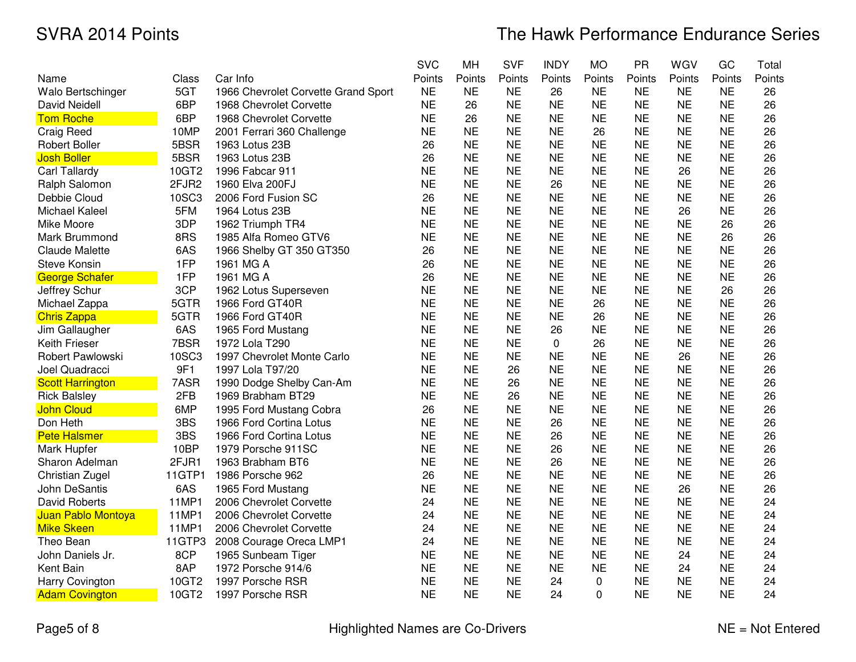|                         |        |                                     | <b>SVC</b> | MH        | <b>SVF</b> | <b>INDY</b> | <b>MO</b> | <b>PR</b> | WGV       | GC        | Total  |
|-------------------------|--------|-------------------------------------|------------|-----------|------------|-------------|-----------|-----------|-----------|-----------|--------|
| Name                    | Class  | Car Info                            | Points     | Points    | Points     | Points      | Points    | Points    | Points    | Points    | Points |
| Walo Bertschinger       | 5GT    | 1966 Chevrolet Corvette Grand Sport | <b>NE</b>  | <b>NE</b> | <b>NE</b>  | 26          | <b>NE</b> | <b>NE</b> | <b>NE</b> | <b>NE</b> | 26     |
| <b>David Neidell</b>    | 6BP    | 1968 Chevrolet Corvette             | <b>NE</b>  | 26        | <b>NE</b>  | <b>NE</b>   | <b>NE</b> | <b>NE</b> | <b>NE</b> | <b>NE</b> | 26     |
| <b>Tom Roche</b>        | 6BP    | 1968 Chevrolet Corvette             | <b>NE</b>  | 26        | <b>NE</b>  | <b>NE</b>   | <b>NE</b> | <b>NE</b> | <b>NE</b> | <b>NE</b> | 26     |
| Craig Reed              | 10MP   | 2001 Ferrari 360 Challenge          | <b>NE</b>  | <b>NE</b> | <b>NE</b>  | <b>NE</b>   | 26        | <b>NE</b> | <b>NE</b> | <b>NE</b> | 26     |
| <b>Robert Boller</b>    | 5BSR   | 1963 Lotus 23B                      | 26         | <b>NE</b> | <b>NE</b>  | <b>NE</b>   | <b>NE</b> | <b>NE</b> | <b>NE</b> | <b>NE</b> | 26     |
| <b>Josh Boller</b>      | 5BSR   | 1963 Lotus 23B                      | 26         | <b>NE</b> | <b>NE</b>  | <b>NE</b>   | <b>NE</b> | <b>NE</b> | <b>NE</b> | <b>NE</b> | 26     |
| Carl Tallardy           | 10GT2  | 1996 Fabcar 911                     | <b>NE</b>  | <b>NE</b> | <b>NE</b>  | <b>NE</b>   | <b>NE</b> | <b>NE</b> | 26        | <b>NE</b> | 26     |
| Ralph Salomon           | 2FJR2  | 1960 Elva 200FJ                     | <b>NE</b>  | <b>NE</b> | <b>NE</b>  | 26          | <b>NE</b> | <b>NE</b> | <b>NE</b> | <b>NE</b> | 26     |
| Debbie Cloud            | 10SC3  | 2006 Ford Fusion SC                 | 26         | <b>NE</b> | <b>NE</b>  | <b>NE</b>   | <b>NE</b> | <b>NE</b> | <b>NE</b> | <b>NE</b> | 26     |
| Michael Kaleel          | 5FM    | 1964 Lotus 23B                      | <b>NE</b>  | <b>NE</b> | <b>NE</b>  | <b>NE</b>   | <b>NE</b> | <b>NE</b> | 26        | <b>NE</b> | 26     |
| Mike Moore              | 3DP    | 1962 Triumph TR4                    | <b>NE</b>  | <b>NE</b> | <b>NE</b>  | <b>NE</b>   | <b>NE</b> | <b>NE</b> | <b>NE</b> | 26        | 26     |
| Mark Brummond           | 8RS    | 1985 Alfa Romeo GTV6                | <b>NE</b>  | <b>NE</b> | <b>NE</b>  | <b>NE</b>   | <b>NE</b> | <b>NE</b> | <b>NE</b> | 26        | 26     |
| <b>Claude Malette</b>   | 6AS    | 1966 Shelby GT 350 GT350            | 26         | <b>NE</b> | <b>NE</b>  | <b>NE</b>   | <b>NE</b> | <b>NE</b> | <b>NE</b> | <b>NE</b> | 26     |
| <b>Steve Konsin</b>     | 1FP    | 1961 MG A                           | 26         | <b>NE</b> | <b>NE</b>  | <b>NE</b>   | <b>NE</b> | <b>NE</b> | <b>NE</b> | <b>NE</b> | 26     |
| <b>George Schafer</b>   | 1FP    | 1961 MG A                           | 26         | <b>NE</b> | <b>NE</b>  | <b>NE</b>   | <b>NE</b> | <b>NE</b> | <b>NE</b> | <b>NE</b> | 26     |
| Jeffrey Schur           | 3CP    | 1962 Lotus Superseven               | <b>NE</b>  | <b>NE</b> | <b>NE</b>  | <b>NE</b>   | <b>NE</b> | <b>NE</b> | <b>NE</b> | 26        | 26     |
| Michael Zappa           | 5GTR   | 1966 Ford GT40R                     | <b>NE</b>  | <b>NE</b> | <b>NE</b>  | <b>NE</b>   | 26        | <b>NE</b> | <b>NE</b> | <b>NE</b> | 26     |
| <b>Chris Zappa</b>      | 5GTR   | 1966 Ford GT40R                     | <b>NE</b>  | <b>NE</b> | <b>NE</b>  | <b>NE</b>   | 26        | <b>NE</b> | <b>NE</b> | <b>NE</b> | 26     |
| Jim Gallaugher          | 6AS    | 1965 Ford Mustang                   | <b>NE</b>  | <b>NE</b> | <b>NE</b>  | 26          | <b>NE</b> | <b>NE</b> | <b>NE</b> | <b>NE</b> | 26     |
| Keith Frieser           | 7BSR   | 1972 Lola T290                      | <b>NE</b>  | <b>NE</b> | <b>NE</b>  | 0           | 26        | <b>NE</b> | <b>NE</b> | <b>NE</b> | 26     |
| Robert Pawlowski        | 10SC3  | 1997 Chevrolet Monte Carlo          | <b>NE</b>  | <b>NE</b> | <b>NE</b>  | <b>NE</b>   | <b>NE</b> | <b>NE</b> | 26        | <b>NE</b> | 26     |
| Joel Quadracci          | 9F1    | 1997 Lola T97/20                    | <b>NE</b>  | <b>NE</b> | 26         | <b>NE</b>   | <b>NE</b> | <b>NE</b> | <b>NE</b> | <b>NE</b> | 26     |
| <b>Scott Harrington</b> | 7ASR   | 1990 Dodge Shelby Can-Am            | <b>NE</b>  | <b>NE</b> | 26         | <b>NE</b>   | <b>NE</b> | <b>NE</b> | <b>NE</b> | <b>NE</b> | 26     |
| <b>Rick Balsley</b>     | 2FB    | 1969 Brabham BT29                   | <b>NE</b>  | <b>NE</b> | 26         | <b>NE</b>   | <b>NE</b> | <b>NE</b> | <b>NE</b> | <b>NE</b> | 26     |
| <b>John Cloud</b>       | 6MP    | 1995 Ford Mustang Cobra             | 26         | <b>NE</b> | <b>NE</b>  | <b>NE</b>   | <b>NE</b> | <b>NE</b> | <b>NE</b> | <b>NE</b> | 26     |
| Don Heth                | 3BS    | 1966 Ford Cortina Lotus             | <b>NE</b>  | <b>NE</b> | <b>NE</b>  | 26          | <b>NE</b> | <b>NE</b> | <b>NE</b> | <b>NE</b> | 26     |
| <b>Pete Halsmer</b>     | 3BS    | 1966 Ford Cortina Lotus             | <b>NE</b>  | <b>NE</b> | <b>NE</b>  | 26          | <b>NE</b> | <b>NE</b> | <b>NE</b> | <b>NE</b> | 26     |
| Mark Hupfer             | 10BP   | 1979 Porsche 911SC                  | <b>NE</b>  | <b>NE</b> | <b>NE</b>  | 26          | <b>NE</b> | <b>NE</b> | <b>NE</b> | <b>NE</b> | 26     |
| Sharon Adelman          | 2FJR1  | 1963 Brabham BT6                    | <b>NE</b>  | <b>NE</b> | <b>NE</b>  | 26          | <b>NE</b> | <b>NE</b> | <b>NE</b> | <b>NE</b> | 26     |
| Christian Zugel         | 11GTP1 | 1986 Porsche 962                    | 26         | <b>NE</b> | <b>NE</b>  | <b>NE</b>   | <b>NE</b> | <b>NE</b> | <b>NE</b> | <b>NE</b> | 26     |
| John DeSantis           | 6AS    | 1965 Ford Mustang                   | <b>NE</b>  | <b>NE</b> | <b>NE</b>  | <b>NE</b>   | <b>NE</b> | <b>NE</b> | 26        | <b>NE</b> | 26     |
| <b>David Roberts</b>    | 11MP1  | 2006 Chevrolet Corvette             | 24         | <b>NE</b> | <b>NE</b>  | <b>NE</b>   | <b>NE</b> | <b>NE</b> | <b>NE</b> | <b>NE</b> | 24     |
| Juan Pablo Montoya      | 11MP1  | 2006 Chevrolet Corvette             | 24         | <b>NE</b> | <b>NE</b>  | <b>NE</b>   | <b>NE</b> | <b>NE</b> | <b>NE</b> | <b>NE</b> | 24     |
| <b>Mike Skeen</b>       | 11MP1  | 2006 Chevrolet Corvette             | 24         | <b>NE</b> | <b>NE</b>  | <b>NE</b>   | <b>NE</b> | <b>NE</b> | <b>NE</b> | <b>NE</b> | 24     |
| Theo Bean               | 11GTP3 | 2008 Courage Oreca LMP1             | 24         | <b>NE</b> | <b>NE</b>  | <b>NE</b>   | <b>NE</b> | <b>NE</b> | <b>NE</b> | <b>NE</b> | 24     |
| John Daniels Jr.        | 8CP    | 1965 Sunbeam Tiger                  | <b>NE</b>  | <b>NE</b> | <b>NE</b>  | <b>NE</b>   | <b>NE</b> | <b>NE</b> | 24        | <b>NE</b> | 24     |
| Kent Bain               | 8AP    | 1972 Porsche 914/6                  | <b>NE</b>  | <b>NE</b> | <b>NE</b>  | <b>NE</b>   | <b>NE</b> | <b>NE</b> | 24        | <b>NE</b> | 24     |
| Harry Covington         | 10GT2  | 1997 Porsche RSR                    | <b>NE</b>  | <b>NE</b> | <b>NE</b>  | 24          | 0         | <b>NE</b> | <b>NE</b> | <b>NE</b> | 24     |
| <b>Adam Covington</b>   | 10GT2  | 1997 Porsche RSR                    | <b>NE</b>  | <b>NE</b> | <b>NE</b>  | 24          | 0         | <b>NE</b> | <b>NE</b> | <b>NE</b> | 24     |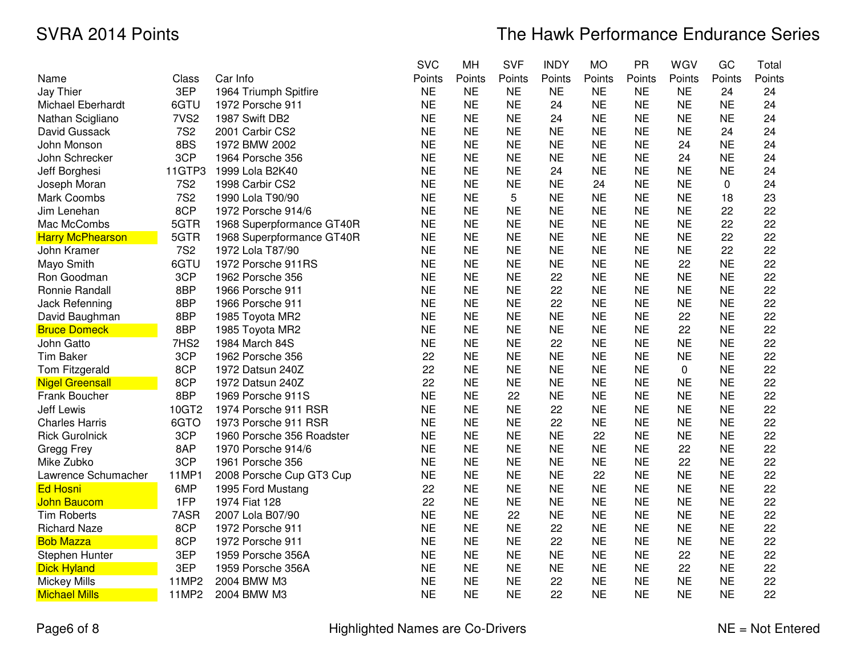|                          |                  |                           | <b>SVC</b> | MH        | <b>SVF</b> | <b>INDY</b> | <b>MO</b> | <b>PR</b> | WGV       | GC        | Total  |
|--------------------------|------------------|---------------------------|------------|-----------|------------|-------------|-----------|-----------|-----------|-----------|--------|
| Name                     | Class            | Car Info                  | Points     | Points    | Points     | Points      | Points    | Points    | Points    | Points    | Points |
| Jay Thier                | 3EP              | 1964 Triumph Spitfire     | <b>NE</b>  | <b>NE</b> | <b>NE</b>  | <b>NE</b>   | <b>NE</b> | <b>NE</b> | <b>NE</b> | 24        | 24     |
| <b>Michael Eberhardt</b> | 6GTU             | 1972 Porsche 911          | <b>NE</b>  | <b>NE</b> | <b>NE</b>  | 24          | <b>NE</b> | <b>NE</b> | <b>NE</b> | <b>NE</b> | 24     |
| Nathan Scigliano         | 7VS <sub>2</sub> | 1987 Swift DB2            | <b>NE</b>  | <b>NE</b> | <b>NE</b>  | 24          | <b>NE</b> | <b>NE</b> | <b>NE</b> | <b>NE</b> | 24     |
| David Gussack            | <b>7S2</b>       | 2001 Carbir CS2           | <b>NE</b>  | <b>NE</b> | <b>NE</b>  | <b>NE</b>   | <b>NE</b> | <b>NE</b> | <b>NE</b> | 24        | 24     |
| John Monson              | 8BS              | 1972 BMW 2002             | <b>NE</b>  | <b>NE</b> | <b>NE</b>  | <b>NE</b>   | <b>NE</b> | <b>NE</b> | 24        | <b>NE</b> | 24     |
| John Schrecker           | 3CP              | 1964 Porsche 356          | <b>NE</b>  | <b>NE</b> | <b>NE</b>  | <b>NE</b>   | <b>NE</b> | <b>NE</b> | 24        | <b>NE</b> | 24     |
| Jeff Borghesi            | 11GTP3           | 1999 Lola B2K40           | <b>NE</b>  | <b>NE</b> | <b>NE</b>  | 24          | <b>NE</b> | <b>NE</b> | <b>NE</b> | <b>NE</b> | 24     |
| Joseph Moran             | <b>7S2</b>       | 1998 Carbir CS2           | <b>NE</b>  | <b>NE</b> | <b>NE</b>  | <b>NE</b>   | 24        | <b>NE</b> | <b>NE</b> | 0         | 24     |
| Mark Coombs              | <b>7S2</b>       | 1990 Lola T90/90          | <b>NE</b>  | <b>NE</b> | 5          | <b>NE</b>   | <b>NE</b> | <b>NE</b> | <b>NE</b> | 18        | 23     |
| Jim Lenehan              | 8CP              | 1972 Porsche 914/6        | <b>NE</b>  | <b>NE</b> | <b>NE</b>  | <b>NE</b>   | <b>NE</b> | <b>NE</b> | <b>NE</b> | 22        | 22     |
| Mac McCombs              | 5GTR             | 1968 Superpformance GT40R | <b>NE</b>  | <b>NE</b> | <b>NE</b>  | <b>NE</b>   | <b>NE</b> | <b>NE</b> | <b>NE</b> | 22        | 22     |
| <b>Harry McPhearson</b>  | 5GTR             | 1968 Superpformance GT40R | <b>NE</b>  | <b>NE</b> | <b>NE</b>  | <b>NE</b>   | <b>NE</b> | <b>NE</b> | <b>NE</b> | 22        | 22     |
| John Kramer              | <b>7S2</b>       | 1972 Lola T87/90          | <b>NE</b>  | <b>NE</b> | <b>NE</b>  | <b>NE</b>   | <b>NE</b> | <b>NE</b> | <b>NE</b> | 22        | 22     |
| Mayo Smith               | 6GTU             | 1972 Porsche 911RS        | <b>NE</b>  | <b>NE</b> | <b>NE</b>  | <b>NE</b>   | <b>NE</b> | <b>NE</b> | 22        | <b>NE</b> | 22     |
| Ron Goodman              | 3CP              | 1962 Porsche 356          | <b>NE</b>  | <b>NE</b> | <b>NE</b>  | 22          | <b>NE</b> | <b>NE</b> | <b>NE</b> | <b>NE</b> | 22     |
| Ronnie Randall           | 8BP              | 1966 Porsche 911          | <b>NE</b>  | <b>NE</b> | <b>NE</b>  | 22          | <b>NE</b> | <b>NE</b> | <b>NE</b> | <b>NE</b> | 22     |
| Jack Refenning           | 8BP              | 1966 Porsche 911          | <b>NE</b>  | <b>NE</b> | <b>NE</b>  | 22          | <b>NE</b> | <b>NE</b> | <b>NE</b> | <b>NE</b> | 22     |
| David Baughman           | 8BP              | 1985 Toyota MR2           | <b>NE</b>  | <b>NE</b> | <b>NE</b>  | <b>NE</b>   | <b>NE</b> | <b>NE</b> | 22        | <b>NE</b> | 22     |
| <b>Bruce Domeck</b>      | 8BP              | 1985 Toyota MR2           | <b>NE</b>  | <b>NE</b> | <b>NE</b>  | <b>NE</b>   | <b>NE</b> | <b>NE</b> | 22        | <b>NE</b> | 22     |
| John Gatto               | 7HS <sub>2</sub> | 1984 March 84S            | <b>NE</b>  | <b>NE</b> | <b>NE</b>  | 22          | <b>NE</b> | <b>NE</b> | <b>NE</b> | <b>NE</b> | 22     |
| <b>Tim Baker</b>         | 3CP              | 1962 Porsche 356          | 22         | <b>NE</b> | <b>NE</b>  | <b>NE</b>   | <b>NE</b> | <b>NE</b> | <b>NE</b> | <b>NE</b> | 22     |
| Tom Fitzgerald           | 8CP              | 1972 Datsun 240Z          | 22         | <b>NE</b> | <b>NE</b>  | <b>NE</b>   | <b>NE</b> | <b>NE</b> | 0         | <b>NE</b> | 22     |
| <b>Nigel Greensall</b>   | 8CP              | 1972 Datsun 240Z          | 22         | <b>NE</b> | <b>NE</b>  | <b>NE</b>   | <b>NE</b> | <b>NE</b> | <b>NE</b> | <b>NE</b> | 22     |
| Frank Boucher            | 8BP              | 1969 Porsche 911S         | <b>NE</b>  | <b>NE</b> | 22         | <b>NE</b>   | <b>NE</b> | <b>NE</b> | <b>NE</b> | <b>NE</b> | 22     |
| <b>Jeff Lewis</b>        | 10GT2            | 1974 Porsche 911 RSR      | <b>NE</b>  | <b>NE</b> | <b>NE</b>  | 22          | <b>NE</b> | <b>NE</b> | <b>NE</b> | <b>NE</b> | 22     |
| <b>Charles Harris</b>    | 6GTO             | 1973 Porsche 911 RSR      | <b>NE</b>  | <b>NE</b> | <b>NE</b>  | 22          | <b>NE</b> | <b>NE</b> | <b>NE</b> | <b>NE</b> | 22     |
| <b>Rick Gurolnick</b>    | 3CP              | 1960 Porsche 356 Roadster | <b>NE</b>  | <b>NE</b> | <b>NE</b>  | <b>NE</b>   | 22        | <b>NE</b> | <b>NE</b> | <b>NE</b> | 22     |
| Gregg Frey               | 8AP              | 1970 Porsche 914/6        | <b>NE</b>  | <b>NE</b> | <b>NE</b>  | <b>NE</b>   | <b>NE</b> | <b>NE</b> | 22        | <b>NE</b> | 22     |
| Mike Zubko               | 3CP              | 1961 Porsche 356          | <b>NE</b>  | <b>NE</b> | <b>NE</b>  | <b>NE</b>   | <b>NE</b> | <b>NE</b> | 22        | <b>NE</b> | 22     |
| Lawrence Schumacher      | 11MP1            | 2008 Porsche Cup GT3 Cup  | <b>NE</b>  | <b>NE</b> | <b>NE</b>  | <b>NE</b>   | 22        | <b>NE</b> | <b>NE</b> | <b>NE</b> | 22     |
| <b>Ed Hosni</b>          | 6MP              | 1995 Ford Mustang         | 22         | <b>NE</b> | <b>NE</b>  | <b>NE</b>   | <b>NE</b> | <b>NE</b> | <b>NE</b> | <b>NE</b> | 22     |
| <b>John Baucom</b>       | 1FP              | 1974 Fiat 128             | 22         | <b>NE</b> | <b>NE</b>  | <b>NE</b>   | <b>NE</b> | <b>NE</b> | <b>NE</b> | <b>NE</b> | 22     |
| Tim Roberts              | 7ASR             | 2007 Lola B07/90          | <b>NE</b>  | <b>NE</b> | 22         | <b>NE</b>   | <b>NE</b> | <b>NE</b> | <b>NE</b> | <b>NE</b> | 22     |
| <b>Richard Naze</b>      | 8CP              | 1972 Porsche 911          | <b>NE</b>  | <b>NE</b> | <b>NE</b>  | 22          | <b>NE</b> | <b>NE</b> | <b>NE</b> | <b>NE</b> | 22     |
| <b>Bob Mazza</b>         | 8CP              | 1972 Porsche 911          | <b>NE</b>  | <b>NE</b> | <b>NE</b>  | 22          | <b>NE</b> | <b>NE</b> | <b>NE</b> | <b>NE</b> | 22     |
| Stephen Hunter           | 3EP              | 1959 Porsche 356A         | <b>NE</b>  | <b>NE</b> | <b>NE</b>  | <b>NE</b>   | <b>NE</b> | <b>NE</b> | 22        | <b>NE</b> | 22     |
| <b>Dick Hyland</b>       | 3EP              | 1959 Porsche 356A         | <b>NE</b>  | <b>NE</b> | <b>NE</b>  | <b>NE</b>   | <b>NE</b> | <b>NE</b> | 22        | <b>NE</b> | 22     |
| <b>Mickey Mills</b>      | 11MP2            | 2004 BMW M3               | <b>NE</b>  | <b>NE</b> | <b>NE</b>  | 22          | <b>NE</b> | <b>NE</b> | <b>NE</b> | <b>NE</b> | 22     |
| <b>Michael Mills</b>     | 11MP2            | 2004 BMW M3               | <b>NE</b>  | <b>NE</b> | <b>NE</b>  | 22          | <b>NE</b> | <b>NE</b> | <b>NE</b> | <b>NE</b> | 22     |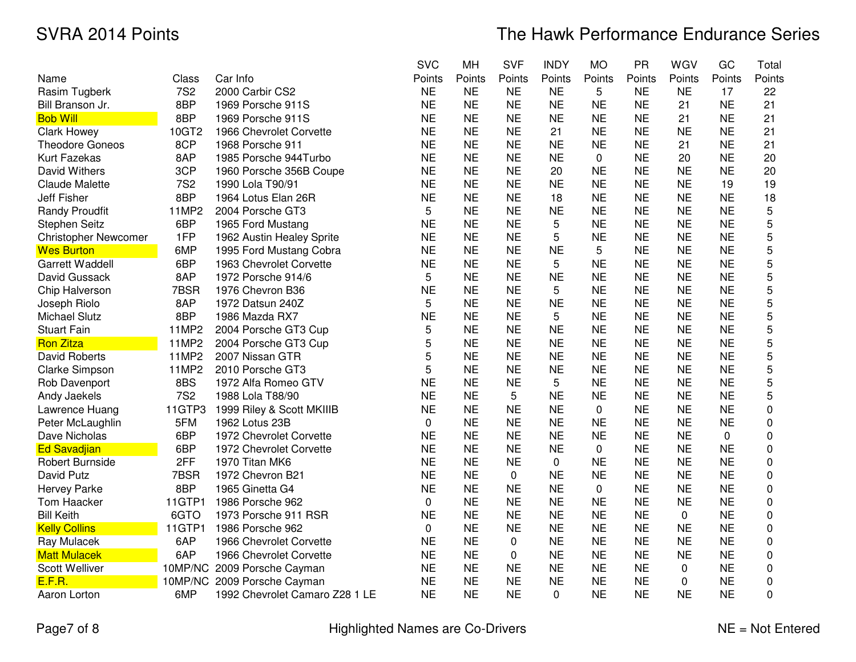|                             |            |                                | <b>SVC</b> | MH        | <b>SVF</b> | <b>INDY</b> | <b>MO</b> | PR        | WGV         | GC        | Total  |
|-----------------------------|------------|--------------------------------|------------|-----------|------------|-------------|-----------|-----------|-------------|-----------|--------|
| Name                        | Class      | Car Info                       | Points     | Points    | Points     | Points      | Points    | Points    | Points      | Points    | Points |
| Rasim Tugberk               | <b>7S2</b> | 2000 Carbir CS2                | <b>NE</b>  | <b>NE</b> | <b>NE</b>  | <b>NE</b>   | 5         | <b>NE</b> | <b>NE</b>   | 17        | 22     |
| Bill Branson Jr.            | 8BP        | 1969 Porsche 911S              | <b>NE</b>  | <b>NE</b> | <b>NE</b>  | <b>NE</b>   | <b>NE</b> | <b>NE</b> | 21          | <b>NE</b> | 21     |
| <b>Bob Will</b>             | 8BP        | 1969 Porsche 911S              | <b>NE</b>  | <b>NE</b> | <b>NE</b>  | <b>NE</b>   | <b>NE</b> | <b>NE</b> | 21          | <b>NE</b> | 21     |
| <b>Clark Howey</b>          | 10GT2      | 1966 Chevrolet Corvette        | <b>NE</b>  | <b>NE</b> | <b>NE</b>  | 21          | <b>NE</b> | <b>NE</b> | <b>NE</b>   | <b>NE</b> | 21     |
| <b>Theodore Goneos</b>      | 8CP        | 1968 Porsche 911               | <b>NE</b>  | <b>NE</b> | <b>NE</b>  | <b>NE</b>   | <b>NE</b> | <b>NE</b> | 21          | <b>NE</b> | 21     |
| <b>Kurt Fazekas</b>         | 8AP        | 1985 Porsche 944Turbo          | <b>NE</b>  | <b>NE</b> | <b>NE</b>  | <b>NE</b>   | 0         | <b>NE</b> | 20          | <b>NE</b> | 20     |
| David Withers               | 3CP        | 1960 Porsche 356B Coupe        | <b>NE</b>  | <b>NE</b> | <b>NE</b>  | 20          | <b>NE</b> | <b>NE</b> | ΝE          | <b>NE</b> | 20     |
| <b>Claude Malette</b>       | <b>7S2</b> | 1990 Lola T90/91               | <b>NE</b>  | <b>NE</b> | <b>NE</b>  | <b>NE</b>   | <b>NE</b> | <b>NE</b> | <b>NE</b>   | 19        | 19     |
| Jeff Fisher                 | 8BP        | 1964 Lotus Elan 26R            | <b>NE</b>  | <b>NE</b> | <b>NE</b>  | 18          | <b>NE</b> | <b>NE</b> | <b>NE</b>   | <b>NE</b> | 18     |
| <b>Randy Proudfit</b>       | 11MP2      | 2004 Porsche GT3               | 5          | <b>NE</b> | <b>NE</b>  | <b>NE</b>   | <b>NE</b> | <b>NE</b> | <b>NE</b>   | <b>NE</b> | 5      |
| Stephen Seitz               | 6BP        | 1965 Ford Mustang              | <b>NE</b>  | <b>NE</b> | <b>NE</b>  | 5           | <b>NE</b> | <b>NE</b> | <b>NE</b>   | <b>NE</b> | 5      |
| <b>Christopher Newcomer</b> | 1FP        | 1962 Austin Healey Sprite      | <b>NE</b>  | <b>NE</b> | <b>NE</b>  | 5           | <b>NE</b> | <b>NE</b> | <b>NE</b>   | <b>NE</b> | 5      |
| <b>Wes Burton</b>           | 6MP        | 1995 Ford Mustang Cobra        | <b>NE</b>  | <b>NE</b> | <b>NE</b>  | <b>NE</b>   | 5         | <b>NE</b> | <b>NE</b>   | <b>NE</b> | 5      |
| Garrett Waddell             | 6BP        | 1963 Chevrolet Corvette        | <b>NE</b>  | <b>NE</b> | <b>NE</b>  | 5           | <b>NE</b> | <b>NE</b> | <b>NE</b>   | <b>NE</b> | 5      |
| David Gussack               | 8AP        | 1972 Porsche 914/6             | 5          | <b>NE</b> | <b>NE</b>  | <b>NE</b>   | <b>NE</b> | <b>NE</b> | <b>NE</b>   | <b>NE</b> | 5      |
| Chip Halverson              | 7BSR       | 1976 Chevron B36               | <b>NE</b>  | <b>NE</b> | <b>NE</b>  | 5           | <b>NE</b> | <b>NE</b> | <b>NE</b>   | <b>NE</b> | 5      |
| Joseph Riolo                | 8AP        | 1972 Datsun 240Z               | 5          | <b>NE</b> | <b>NE</b>  | <b>NE</b>   | <b>NE</b> | <b>NE</b> | <b>NE</b>   | <b>NE</b> | 5      |
| <b>Michael Slutz</b>        | 8BP        | 1986 Mazda RX7                 | <b>NE</b>  | <b>NE</b> | <b>NE</b>  | 5           | <b>NE</b> | <b>NE</b> | <b>NE</b>   | <b>NE</b> | 5      |
| <b>Stuart Fain</b>          | 11MP2      | 2004 Porsche GT3 Cup           | 5          | <b>NE</b> | <b>NE</b>  | <b>NE</b>   | <b>NE</b> | <b>NE</b> | <b>NE</b>   | <b>NE</b> | 5      |
| <b>Ron Zitza</b>            | 11MP2      | 2004 Porsche GT3 Cup           | 5          | <b>NE</b> | <b>NE</b>  | <b>NE</b>   | <b>NE</b> | <b>NE</b> | <b>NE</b>   | <b>NE</b> | 5      |
| <b>David Roberts</b>        | 11MP2      | 2007 Nissan GTR                | 5          | <b>NE</b> | <b>NE</b>  | <b>NE</b>   | <b>NE</b> | <b>NE</b> | <b>NE</b>   | <b>NE</b> | 5      |
| Clarke Simpson              | 11MP2      | 2010 Porsche GT3               | 5          | <b>NE</b> | <b>NE</b>  | <b>NE</b>   | <b>NE</b> | <b>NE</b> | <b>NE</b>   | <b>NE</b> | 5      |
| Rob Davenport               | 8BS        | 1972 Alfa Romeo GTV            | <b>NE</b>  | <b>NE</b> | <b>NE</b>  | 5           | <b>NE</b> | <b>NE</b> | <b>NE</b>   | <b>NE</b> | 5      |
| Andy Jaekels                | <b>7S2</b> | 1988 Lola T88/90               | <b>NE</b>  | <b>NE</b> | 5          | <b>NE</b>   | <b>NE</b> | <b>NE</b> | <b>NE</b>   | <b>NE</b> | 5      |
| Lawrence Huang              | 11GTP3     | 1999 Riley & Scott MKIIIB      | <b>NE</b>  | <b>NE</b> | <b>NE</b>  | <b>NE</b>   | 0         | <b>NE</b> | <b>NE</b>   | <b>NE</b> | 0      |
| Peter McLaughlin            | 5FM        | 1962 Lotus 23B                 | 0          | <b>NE</b> | <b>NE</b>  | <b>NE</b>   | <b>NE</b> | <b>NE</b> | <b>NE</b>   | <b>NE</b> | 0      |
| Dave Nicholas               | 6BP        | 1972 Chevrolet Corvette        | <b>NE</b>  | <b>NE</b> | <b>NE</b>  | <b>NE</b>   | <b>NE</b> | <b>NE</b> | <b>NE</b>   | 0         | 0      |
| <b>Ed Savadjian</b>         | 6BP        | 1972 Chevrolet Corvette        | <b>NE</b>  | <b>NE</b> | <b>NE</b>  | <b>NE</b>   | 0         | <b>NE</b> | <b>NE</b>   | <b>NE</b> | 0      |
| Robert Burnside             | 2FF        | 1970 Titan MK6                 | <b>NE</b>  | <b>NE</b> | <b>NE</b>  | 0           | <b>NE</b> | <b>NE</b> | <b>NE</b>   | <b>NE</b> | 0      |
| David Putz                  | 7BSR       | 1972 Chevron B21               | <b>NE</b>  | <b>NE</b> | 0          | <b>NE</b>   | <b>NE</b> | <b>NE</b> | <b>NE</b>   | <b>NE</b> | 0      |
| <b>Hervey Parke</b>         | 8BP        | 1965 Ginetta G4                | <b>NE</b>  | <b>NE</b> | <b>NE</b>  | <b>NE</b>   | 0         | <b>NE</b> | <b>NE</b>   | <b>NE</b> | 0      |
| Tom Haacker                 | 11GTP1     | 1986 Porsche 962               | 0          | <b>NE</b> | <b>NE</b>  | <b>NE</b>   | <b>NE</b> | <b>NE</b> | <b>NE</b>   | <b>NE</b> | 0      |
| <b>Bill Keith</b>           | 6GTO       | 1973 Porsche 911 RSR           | <b>NE</b>  | <b>NE</b> | <b>NE</b>  | <b>NE</b>   | <b>NE</b> | <b>NE</b> | $\mathbf 0$ | <b>NE</b> | 0      |
| <b>Kelly Collins</b>        | 11GTP1     | 1986 Porsche 962               | $\Omega$   | <b>NE</b> | <b>NE</b>  | <b>NE</b>   | <b>NE</b> | <b>NE</b> | <b>NE</b>   | <b>NE</b> | 0      |
| Ray Mulacek                 | 6AP        | 1966 Chevrolet Corvette        | <b>NE</b>  | <b>NE</b> | 0          | <b>NE</b>   | <b>NE</b> | <b>NE</b> | <b>NE</b>   | <b>NE</b> | 0      |
| <b>Matt Mulacek</b>         | 6AP        | 1966 Chevrolet Corvette        | <b>NE</b>  | <b>NE</b> | 0          | <b>NE</b>   | <b>NE</b> | <b>NE</b> | <b>NE</b>   | <b>NE</b> | 0      |
| Scott Welliver              | 10MP/NC    | 2009 Porsche Cayman            | <b>NE</b>  | <b>NE</b> | <b>NE</b>  | <b>NE</b>   | <b>NE</b> | <b>NE</b> | $\Omega$    | <b>NE</b> | 0      |
| E.F.R.                      |            | 10MP/NC 2009 Porsche Cayman    | <b>NE</b>  | <b>NE</b> | <b>NE</b>  | <b>NE</b>   | <b>NE</b> | <b>NE</b> | 0           | <b>NE</b> | 0      |
| Aaron Lorton                | 6MP        | 1992 Chevrolet Camaro Z28 1 LE | <b>NE</b>  | <b>NE</b> | <b>NE</b>  | $\Omega$    | <b>NE</b> | <b>NE</b> | <b>NE</b>   | <b>NE</b> | 0      |